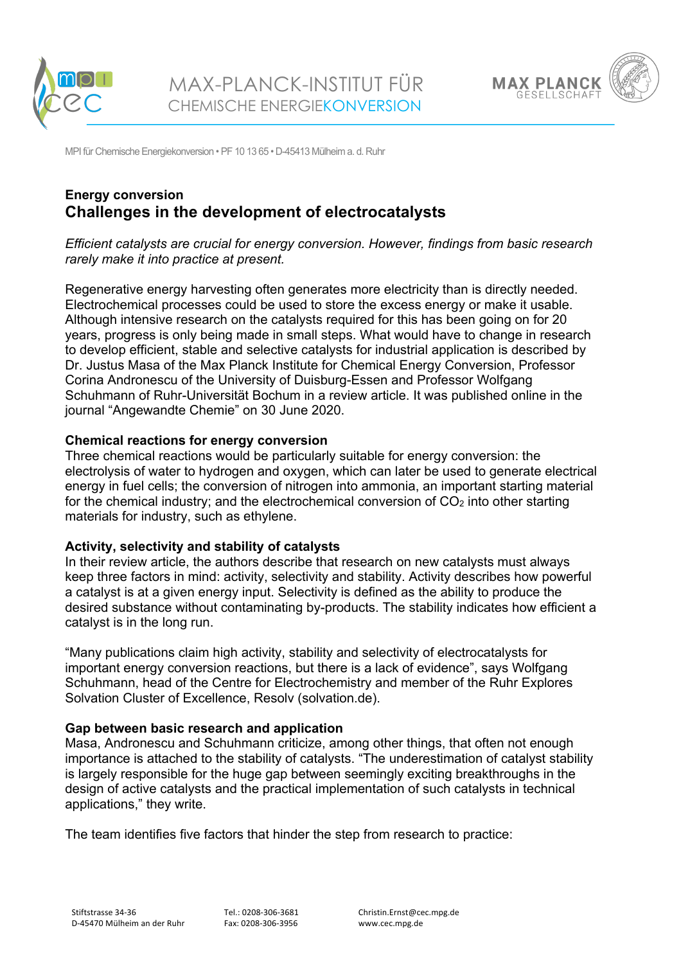





MPI für Chemische Energiekonversion • PF 10 13 65 • D-45413 Mülheim a. d. Ruhr

# **Energy conversion Challenges in the development of electrocatalysts**

*Efficient catalysts are crucial for energy conversion. However, findings from basic research rarely make it into practice at present.*

Regenerative energy harvesting often generates more electricity than is directly needed. Electrochemical processes could be used to store the excess energy or make it usable. Although intensive research on the catalysts required for this has been going on for 20 years, progress is only being made in small steps. What would have to change in research to develop efficient, stable and selective catalysts for industrial application is described by Dr. Justus Masa of the Max Planck Institute for Chemical Energy Conversion, Professor Corina Andronescu of the University of Duisburg-Essen and Professor Wolfgang Schuhmann of Ruhr-Universität Bochum in a review article. It was published online in the journal "Angewandte Chemie" on 30 June 2020.

### **Chemical reactions for energy conversion**

Three chemical reactions would be particularly suitable for energy conversion: the electrolysis of water to hydrogen and oxygen, which can later be used to generate electrical energy in fuel cells; the conversion of nitrogen into ammonia, an important starting material for the chemical industry; and the electrochemical conversion of  $CO<sub>2</sub>$  into other starting materials for industry, such as ethylene.

### **Activity, selectivity and stability of catalysts**

In their review article, the authors describe that research on new catalysts must always keep three factors in mind: activity, selectivity and stability. Activity describes how powerful a catalyst is at a given energy input. Selectivity is defined as the ability to produce the desired substance without contaminating by-products. The stability indicates how efficient a catalyst is in the long run.

"Many publications claim high activity, stability and selectivity of electrocatalysts for important energy conversion reactions, but there is a lack of evidence", says Wolfgang Schuhmann, head of the Centre for Electrochemistry and member of the Ruhr Explores Solvation Cluster of Excellence, Resolv (solvation.de).

### **Gap between basic research and application**

Masa, Andronescu and Schuhmann criticize, among other things, that often not enough importance is attached to the stability of catalysts. "The underestimation of catalyst stability is largely responsible for the huge gap between seemingly exciting breakthroughs in the design of active catalysts and the practical implementation of such catalysts in technical applications," they write.

The team identifies five factors that hinder the step from research to practice: